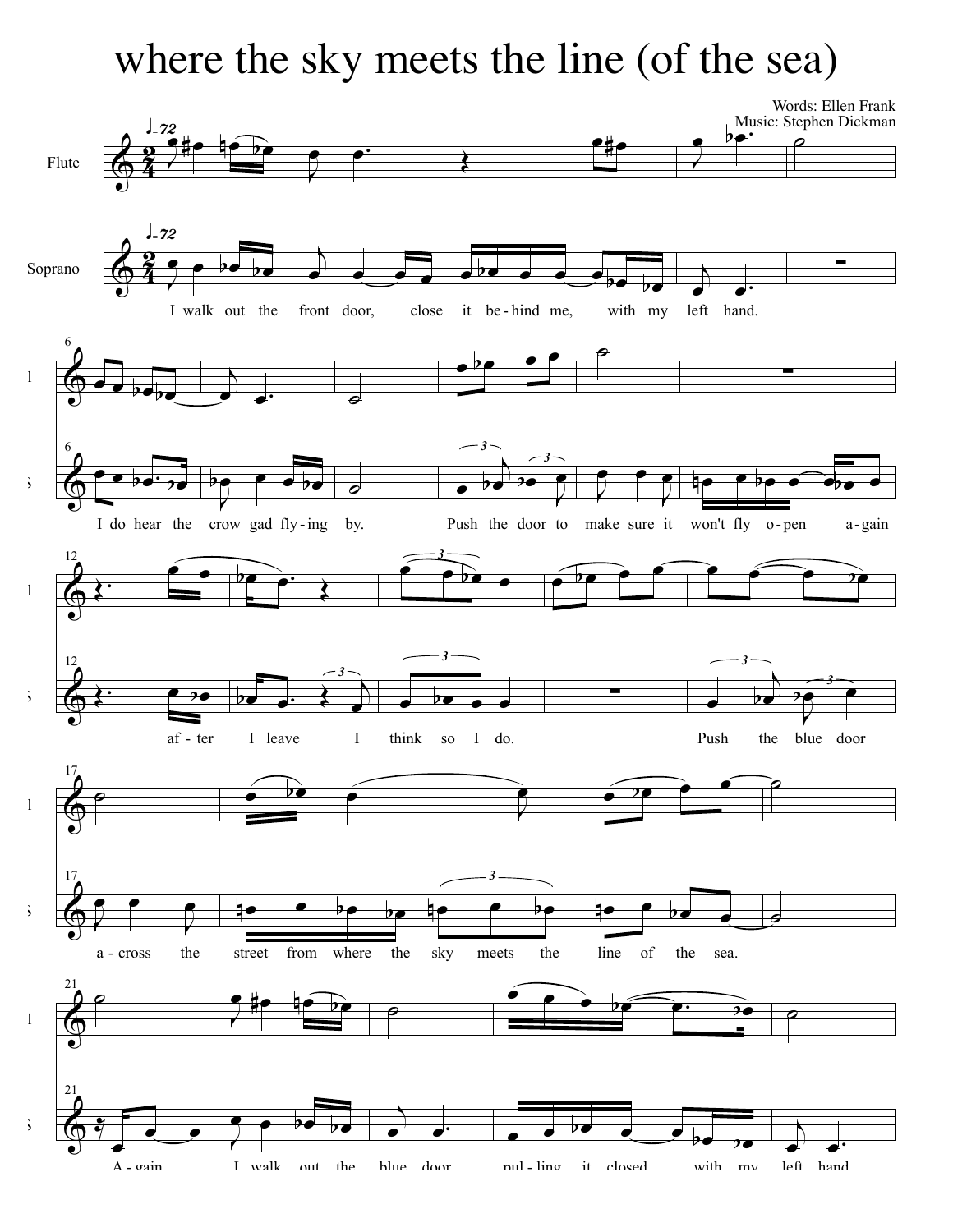## where the sky meets the line (of the sea)